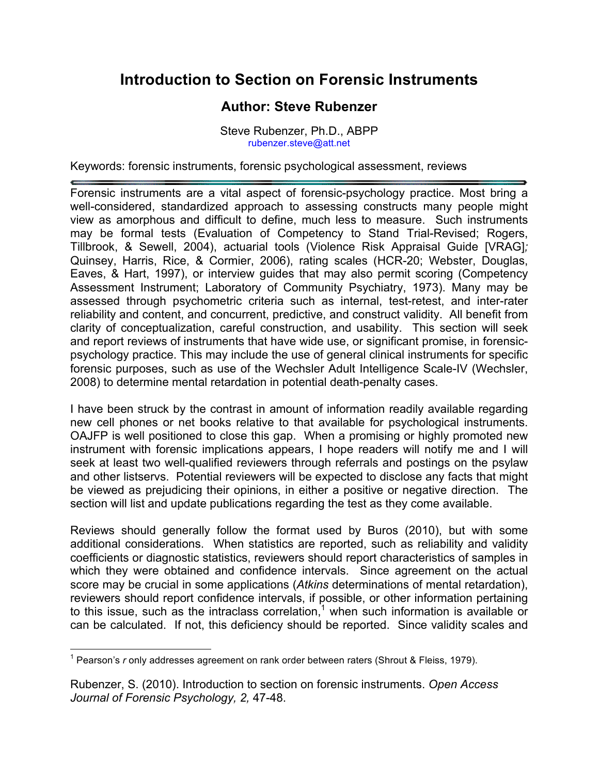## **Introduction to Section on Forensic Instruments**

## **Author: Steve Rubenzer**

Steve Rubenzer, Ph.D., ABPP rubenzer.steve@att.net

Keywords: forensic instruments, forensic psychological assessment, reviews

Forensic instruments are a vital aspect of forensic-psychology practice. Most bring a well-considered, standardized approach to assessing constructs many people might view as amorphous and difficult to define, much less to measure. Such instruments may be formal tests (Evaluation of Competency to Stand Trial-Revised; Rogers, Tillbrook, & Sewell, 2004), actuarial tools (Violence Risk Appraisal Guide [VRAG]*;*  Quinsey, Harris, Rice, & Cormier, 2006), rating scales (HCR-20; Webster, Douglas, Eaves, & Hart, 1997), or interview guides that may also permit scoring (Competency Assessment Instrument; Laboratory of Community Psychiatry, 1973). Many may be assessed through psychometric criteria such as internal, test-retest, and inter-rater reliability and content, and concurrent, predictive, and construct validity. All benefit from clarity of conceptualization, careful construction, and usability. This section will seek and report reviews of instruments that have wide use, or significant promise, in forensicpsychology practice. This may include the use of general clinical instruments for specific forensic purposes, such as use of the Wechsler Adult Intelligence Scale-IV (Wechsler, 2008) to determine mental retardation in potential death-penalty cases.

I have been struck by the contrast in amount of information readily available regarding new cell phones or net books relative to that available for psychological instruments. OAJFP is well positioned to close this gap. When a promising or highly promoted new instrument with forensic implications appears, I hope readers will notify me and I will seek at least two well-qualified reviewers through referrals and postings on the psylaw and other listservs. Potential reviewers will be expected to disclose any facts that might be viewed as prejudicing their opinions, in either a positive or negative direction. The section will list and update publications regarding the test as they come available.

Reviews should generally follow the format used by Buros (2010), but with some additional considerations. When statistics are reported, such as reliability and validity coefficients or diagnostic statistics, reviewers should report characteristics of samples in which they were obtained and confidence intervals. Since agreement on the actual score may be crucial in some applications (*Atkins* determinations of mental retardation), reviewers should report confidence intervals, if possible, or other information pertaining to this issue, such as the intraclass correlation,<sup>1</sup> when such information is available or can be calculated. If not, this deficiency should be reported. Since validity scales and

 $\overline{\phantom{a}}$ <sup>1</sup> Pearson's *r* only addresses agreement on rank order between raters (Shrout & Fleiss, 1979).

Rubenzer, S. (2010). Introduction to section on forensic instruments. *Open Access Journal of Forensic Psychology, 2,* 47-48.